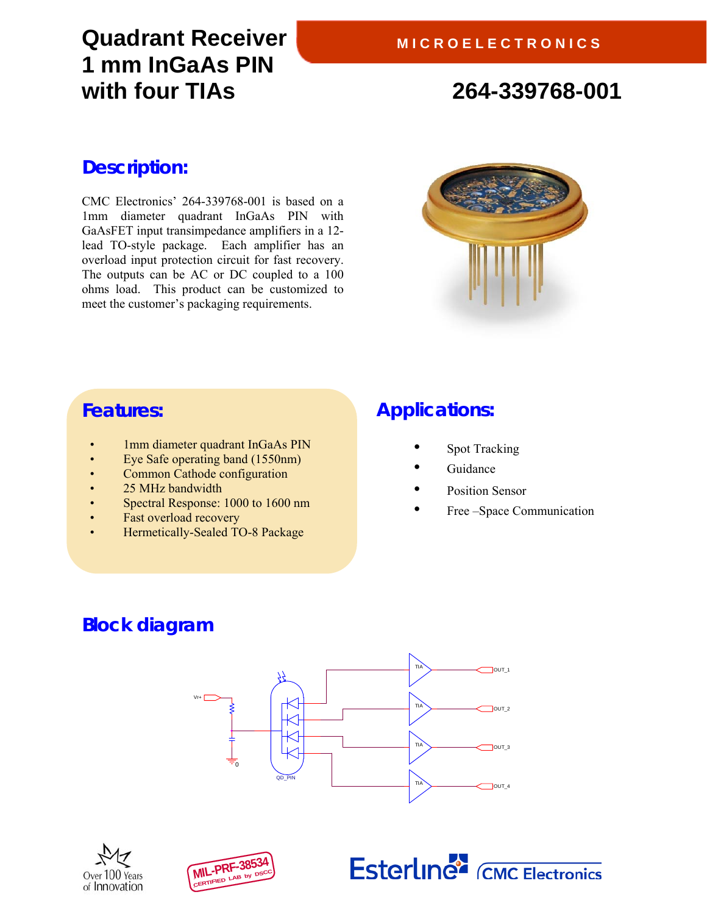# **Quadrant Receiver 1 mm InGaAs PIN with four TIAs 264-339768-001**

## **Description:**

CMC Electronics' 264-339768-001 is based on a 1mm diameter quadrant InGaAs PIN with GaAsFET input transimpedance amplifiers in a 12 lead TO-style package. Each amplifier has an overload input protection circuit for fast recovery. The outputs can be AC or DC coupled to a 100 ohms load. This product can be customized to meet the customer's packaging requirements.



## **Features:**

- 1mm diameter quadrant InGaAs PIN
- Eye Safe operating band (1550nm)
- Common Cathode configuration
- 25 MHz bandwidth
- Spectral Response: 1000 to 1600 nm
- Fast overload recovery
- Hermetically-Sealed TO-8 Package

## **Applications:**

- Spot Tracking
- **Guidance**
- Position Sensor
- Free –Space Communication

# **Block diagram**







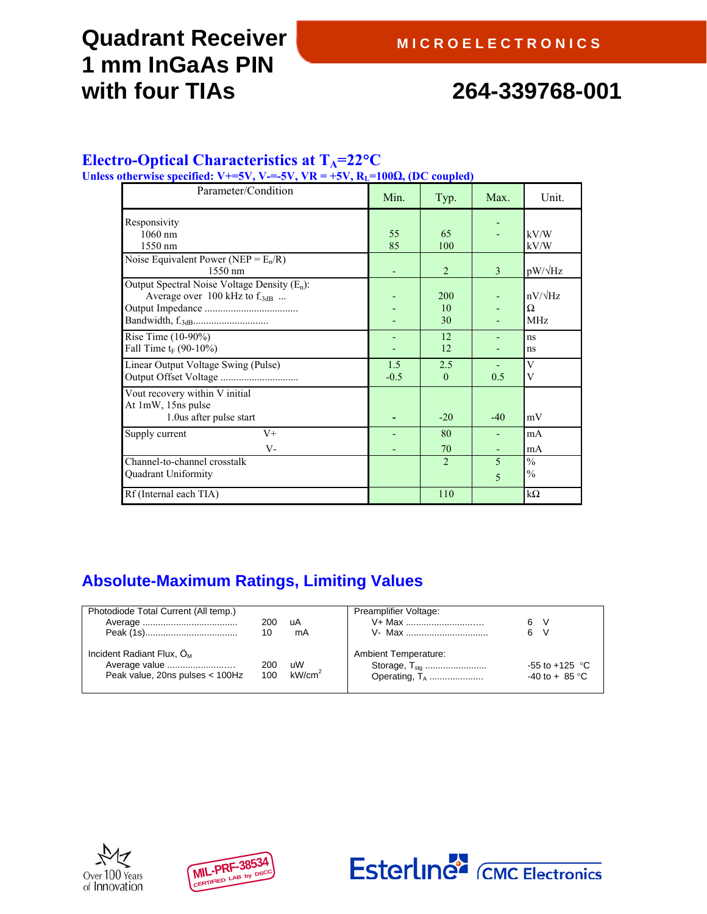# **Quadrant Receiver 1 mm InGaAs PIN with four TIAs 264-339768-001**

### Electro-Optical Characteristics at T<sub>A</sub>=22°C

Unless otherwise specified: V+=5V, V-=-5V, VR =  $+5V$ ,  $R_L$ =100 $\Omega$ , (DC coupled)

| Parameter/Condition                                                                  | Min.          | Typ.            | Max.   | Unit.                             |
|--------------------------------------------------------------------------------------|---------------|-----------------|--------|-----------------------------------|
| Responsivity<br>$1060$ nm<br>1550 nm                                                 | 55<br>85      | 65<br>100       |        | kV/W<br>kV/W                      |
| Noise Equivalent Power (NEP = $E_n/R$ )<br>1550 nm                                   |               | 2               | 3      | $pW/\sqrt{Hz}$                    |
| Output Spectral Noise Voltage Density $(E_n)$ :<br>Average over 100 kHz to $f_{3dB}$ |               | 200<br>10<br>30 |        | $nV/\sqrt{Hz}$<br>Ω<br><b>MHz</b> |
| Rise Time (10-90%)<br>Fall Time $t_F$ (90-10%)                                       |               | 12<br>12        |        | ns<br>ns                          |
| Linear Output Voltage Swing (Pulse)                                                  | 1.5<br>$-0.5$ | 2.5<br>$\theta$ | 0.5    | V<br>V                            |
| Vout recovery within V initial<br>At 1mW, 15ns pulse<br>1.0 us after pulse start     |               | $-20$           | $-40$  | mV                                |
| Supply current<br>$V^+$<br>$V -$                                                     |               | 80<br>70        |        | mA<br>mA                          |
| Channel-to-channel crosstalk<br>Quadrant Uniformity                                  |               | $\overline{2}$  | 5<br>5 | $\frac{0}{0}$<br>$\frac{0}{0}$    |
| Rf (Internal each TIA)                                                               |               | 110             |        | $k\Omega$                         |

## **Absolute-Maximum Ratings, Limiting Values**

| Photodiode Total Current (All temp.)                                            | 200<br>10  | uA<br>mA                 | Preamplifier Voltage:<br>V+ Max<br>V- Max | - V<br>6<br>6<br>$\vee$                 |
|---------------------------------------------------------------------------------|------------|--------------------------|-------------------------------------------|-----------------------------------------|
| Incident Radiant Flux, $OM$<br>Average value<br>Peak value, 20ns pulses < 100Hz | 200<br>100 | uW<br>kW/cm <sup>2</sup> | <b>Ambient Temperature:</b>               | $-55$ to $+125$ °C<br>$-40$ to $+85$ °C |